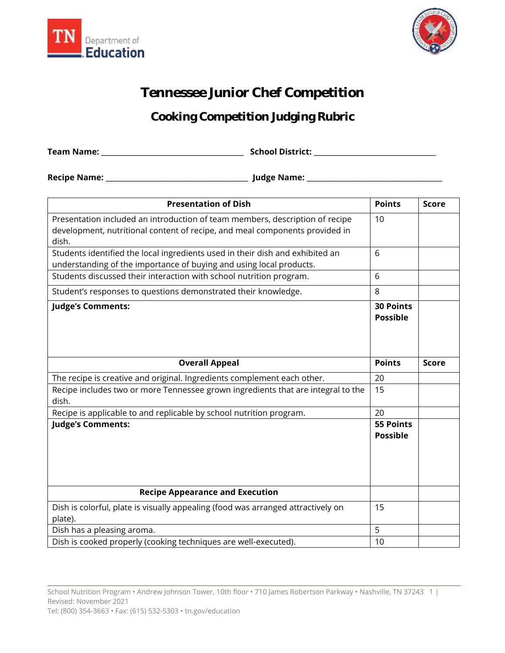



## **Tennessee Junior Chef Competition**

## **Cooking Competition Judging Rubric**

**Team Name: \_\_\_\_\_\_\_\_\_\_\_\_\_\_\_\_\_\_\_\_\_\_\_\_\_\_\_\_\_\_\_\_\_\_\_\_\_\_\_\_\_\_ School District: \_\_\_\_\_\_\_\_\_\_\_\_\_\_\_\_\_\_\_\_\_\_\_\_\_\_\_\_\_\_\_\_\_\_\_\_**

**Recipe Name: \_\_\_\_\_\_\_\_\_\_\_\_\_\_\_\_\_\_\_\_\_\_\_\_\_\_\_\_\_\_\_\_\_\_\_\_\_\_\_\_\_\_ Judge Name: \_\_\_\_\_\_\_\_\_\_\_\_\_\_\_\_\_\_\_\_\_\_\_\_\_\_\_\_\_\_\_\_\_\_\_\_\_\_\_\_**

| <b>Presentation of Dish</b>                                                                                                                                          | <b>Points</b>                       | <b>Score</b> |
|----------------------------------------------------------------------------------------------------------------------------------------------------------------------|-------------------------------------|--------------|
| Presentation included an introduction of team members, description of recipe<br>development, nutritional content of recipe, and meal components provided in<br>dish. | 10                                  |              |
| Students identified the local ingredients used in their dish and exhibited an<br>understanding of the importance of buying and using local products.                 | 6                                   |              |
| Students discussed their interaction with school nutrition program.                                                                                                  | 6                                   |              |
| Student's responses to questions demonstrated their knowledge.                                                                                                       | 8                                   |              |
| <b>Judge's Comments:</b>                                                                                                                                             | <b>30 Points</b><br><b>Possible</b> |              |
| <b>Overall Appeal</b>                                                                                                                                                | <b>Points</b>                       | <b>Score</b> |
| The recipe is creative and original. Ingredients complement each other.                                                                                              | 20                                  |              |
| Recipe includes two or more Tennessee grown ingredients that are integral to the<br>dish.                                                                            | 15                                  |              |
| Recipe is applicable to and replicable by school nutrition program.                                                                                                  | 20                                  |              |
| <b>Judge's Comments:</b>                                                                                                                                             | <b>55 Points</b><br><b>Possible</b> |              |
| <b>Recipe Appearance and Execution</b>                                                                                                                               |                                     |              |
| Dish is colorful, plate is visually appealing (food was arranged attractively on<br>plate).                                                                          | 15                                  |              |
| Dish has a pleasing aroma.                                                                                                                                           | 5                                   |              |
| Dish is cooked properly (cooking techniques are well-executed).                                                                                                      | 10                                  |              |